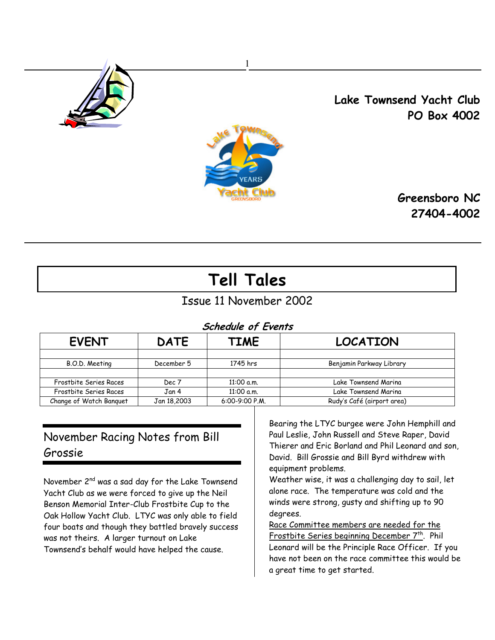

 Lake Townsend Yacht Club PO Box 4002



 Greensboro NC 27404-4002

# Tell Tales

# Issue 11 November 2002

# Schedule of Events

| <b>EVENT</b>            | <b>DATE</b> | TIME             | <b>LOCATION</b>            |  |  |  |  |  |  |  |  |  |
|-------------------------|-------------|------------------|----------------------------|--|--|--|--|--|--|--|--|--|
| B.O.D. Meeting          | December 5  | 1745 hrs         | Benjamin Parkway Library   |  |  |  |  |  |  |  |  |  |
|                         |             |                  |                            |  |  |  |  |  |  |  |  |  |
| Frostbite Series Races  | Dec 7       | 11:00 a.m.       | Lake Townsend Marina       |  |  |  |  |  |  |  |  |  |
| Frostbite Series Races  | Jan 4       | 11:00 a.m.       | Lake Townsend Marina       |  |  |  |  |  |  |  |  |  |
| Change of Watch Banquet | Jan 18,2003 | $6:00-9:00 P.M.$ | Rudy's Café (airport area) |  |  |  |  |  |  |  |  |  |

# November Racing Notes from Bill Grossie

November 2<sup>nd</sup> was a sad day for the Lake Townsend Yacht Club as we were forced to give up the Neil Benson Memorial Inter-Club Frostbite Cup to the Oak Hollow Yacht Club. LTYC was only able to field four boats and though they battled bravely success was not theirs. A larger turnout on Lake Townsend's behalf would have helped the cause.

Bearing the LTYC burgee were John Hemphill and Paul Leslie, John Russell and Steve Raper, David Thierer and Eric Borland and Phil Leonard and son, David. Bill Grossie and Bill Byrd withdrew with equipment problems.

Weather wise, it was a challenging day to sail, let alone race. The temperature was cold and the winds were strong, gusty and shifting up to 90 degrees.

Race Committee members are needed for the Frostbite Series beginning December 7<sup>th</sup>. Phil Leonard will be the Principle Race Officer. If you have not been on the race committee this would be a great time to get started.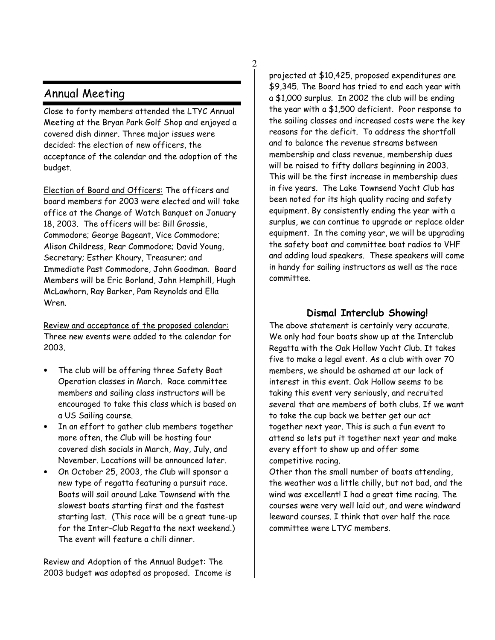## Annual Meeting

Close to forty members attended the LTYC Annual Meeting at the Bryan Park Golf Shop and enjoyed a covered dish dinner. Three major issues were decided: the election of new officers, the acceptance of the calendar and the adoption of the budget.

2

Election of Board and Officers: The officers and board members for 2003 were elected and will take office at the Change of Watch Banquet on January 18, 2003. The officers will be: Bill Grossie, Commodore; George Bageant, Vice Commodore; Alison Childress, Rear Commodore; David Young, Secretary; Esther Khoury, Treasurer; and Immediate Past Commodore, John Goodman. Board Members will be Eric Borland, John Hemphill, Hugh McLawhorn, Ray Barker, Pam Reynolds and Ella Wren.

Review and acceptance of the proposed calendar: Three new events were added to the calendar for 2003.

- The club will be offering three Safety Boat Operation classes in March. Race committee members and sailing class instructors will be encouraged to take this class which is based on a US Sailing course.
- In an effort to gather club members together more often, the Club will be hosting four covered dish socials in March, May, July, and November. Locations will be announced later.
- On October 25, 2003, the Club will sponsor a new type of regatta featuring a pursuit race. Boats will sail around Lake Townsend with the slowest boats starting first and the fastest starting last. (This race will be a great tune-up for the Inter-Club Regatta the next weekend.) The event will feature a chili dinner.

Review and Adoption of the Annual Budget: The 2003 budget was adopted as proposed. Income is projected at \$10,425, proposed expenditures are \$9,345. The Board has tried to end each year with a \$1,000 surplus. In 2002 the club will be ending the year with a \$1,500 deficient. Poor response to the sailing classes and increased costs were the key reasons for the deficit. To address the shortfall and to balance the revenue streams between membership and class revenue, membership dues will be raised to fifty dollars beginning in 2003. This will be the first increase in membership dues in five years. The Lake Townsend Yacht Club has been noted for its high quality racing and safety equipment. By consistently ending the year with a surplus, we can continue to upgrade or replace older equipment. In the coming year, we will be upgrading the safety boat and committee boat radios to VHF and adding loud speakers. These speakers will come in handy for sailing instructors as well as the race committee.

### Dismal Interclub Showing!

The above statement is certainly very accurate. We only had four boats show up at the Interclub Regatta with the Oak Hollow Yacht Club. It takes five to make a legal event. As a club with over 70 members, we should be ashamed at our lack of interest in this event. Oak Hollow seems to be taking this event very seriously, and recruited several that are members of both clubs. If we want to take the cup back we better get our act together next year. This is such a fun event to attend so lets put it together next year and make every effort to show up and offer some competitive racing.

Other than the small number of boats attending, the weather was a little chilly, but not bad, and the wind was excellent! I had a great time racing. The courses were very well laid out, and were windward leeward courses. I think that over half the race committee were LTYC members.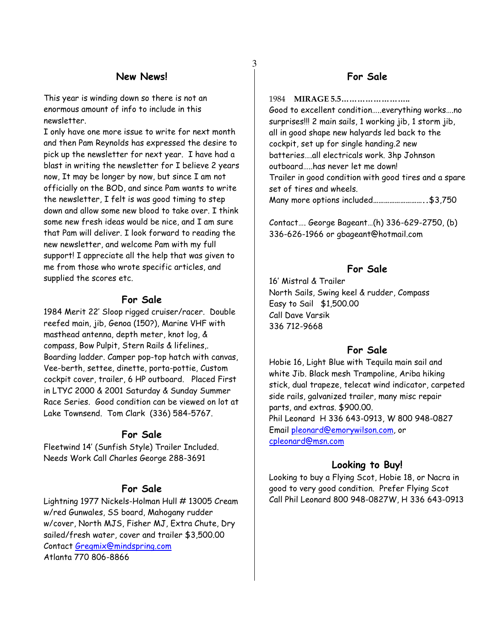#### New News!

3

This year is winding down so there is not an enormous amount of info to include in this newsletter.

I only have one more issue to write for next month and then Pam Reynolds has expressed the desire to pick up the newsletter for next year. I have had a blast in writing the newsletter for I believe 2 years now, It may be longer by now, but since I am not officially on the BOD, and since Pam wants to write the newsletter, I felt is was good timing to step down and allow some new blood to take over. I think some new fresh ideas would be nice, and I am sure that Pam will deliver. I look forward to reading the new newsletter, and welcome Pam with my full support! I appreciate all the help that was given to me from those who wrote specific articles, and supplied the scores etc.

#### For Sale

1984 Merit 22' Sloop rigged cruiser/racer. Double reefed main, jib, Genoa (150?), Marine VHF with masthead antenna, depth meter, knot log, & compass, Bow Pulpit, Stern Rails & lifelines,. Boarding ladder. Camper pop-top hatch with canvas, Vee-berth, settee, dinette, porta-pottie, Custom cockpit cover, trailer, 6 HP outboard. Placed First in LTYC 2000 & 2001 Saturday & Sunday Summer Race Series. Good condition can be viewed on lot at Lake Townsend. Tom Clark (336) 584-5767.

#### For Sale

Fleetwind 14' (Sunfish Style) Trailer Included. Needs Work Call Charles George 288-3691

#### For Sale

Lightning 1977 Nickels-Holman Hull # 13005 Cream w/red Gunwales, SS board, Mahogany rudder w/cover, North MJS, Fisher MJ, Extra Chute, Dry sailed/fresh water, cover and trailer \$3,500.00 Contact Gregmix@mindspring.com Atlanta 770 806-8866

### For Sale

1984 MIRAGE 5.5…………………….. Good to excellent condition…..everything works….no surprises!!! 2 main sails, 1 working jib, 1 storm jib, all in good shape new halyards led back to the cockpit, set up for single handing.2 new batteries….all electricals work. 3hp Johnson outboard…..has never let me down! Trailer in good condition with good tires and a spare set of tires and wheels. Many more options included………………………..\$3,750

Contact…. George Bageant…(h) 336-629-2750, (b) 336-626-1966 or gbageant@hotmail.com

### For Sale

16' Mistral & Trailer North Sails, Swing keel & rudder, Compass Easy to Sail \$1,500.00 Call Dave Varsik 336 712-9668

#### For Sale

Hobie 16, Light Blue with Tequila main sail and white Jib. Black mesh Trampoline, Ariba hiking stick, dual trapeze, telecat wind indicator, carpeted side rails, galvanized trailer, many misc repair parts, and extras. \$900.00. Phil Leonard H 336 643-0913, W 800 948-0827 Email pleonard@emorywilson.com, or cpleonard@msn.com

#### Looking to Buy!

Looking to buy a Flying Scot, Hobie 18, or Nacra in good to very good condition. Prefer Flying Scot Call Phil Leonard 800 948-0827W, H 336 643-0913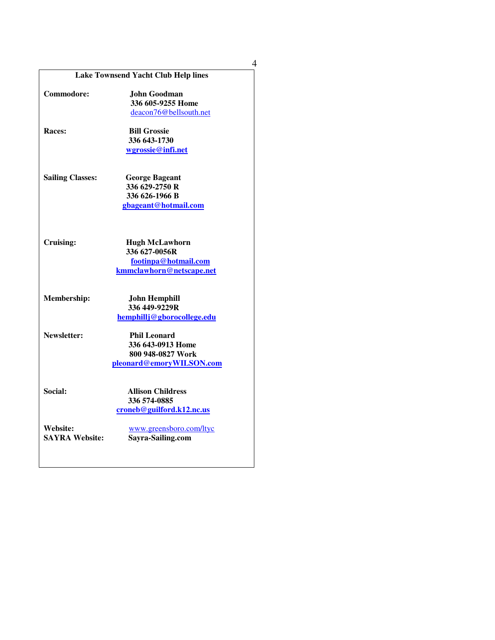|                         | <b>Lake Townsend Yacht Club Help lines</b> |
|-------------------------|--------------------------------------------|
| Commodore:              | John Goodman                               |
|                         | 336 605-9255 Home                          |
|                         | deacon76@bellsouth.net                     |
|                         |                                            |
| <b>Races:</b>           | <b>Bill Grossie</b>                        |
|                         | 336 643-1730                               |
|                         | wgrossie@infi.net                          |
| <b>Sailing Classes:</b> | <b>George Bageant</b>                      |
|                         | 336 629-2750 R                             |
|                         | 336 626-1966 B                             |
|                         | gbageant@hotmail.com                       |
|                         |                                            |
| Cruising:               | <b>Hugh McLawhorn</b>                      |
|                         | 336 627-0056R                              |
|                         | footinpa@hotmail.com                       |
|                         | kmmclawhorn@netscape.net                   |
| Membership:             | <b>John Hemphill</b>                       |
|                         | 336 449-9229R                              |
|                         | hemphillj@gborocollege.edu                 |
| Newsletter:             | <b>Phil Leonard</b>                        |
|                         | 336 643-0913 Home                          |
|                         | 800 948-0827 Work                          |
|                         | pleonard@emoryWILSON.com                   |
| Social:                 | <b>Allison Childress</b>                   |
|                         | 336 574-0885                               |
|                         | croneb@guilford.k12.nc.us                  |
| Website:                | www.greensboro.com/ltyc                    |
| <b>SAYRA Website:</b>   | Sayra-Sailing.com                          |
|                         |                                            |

4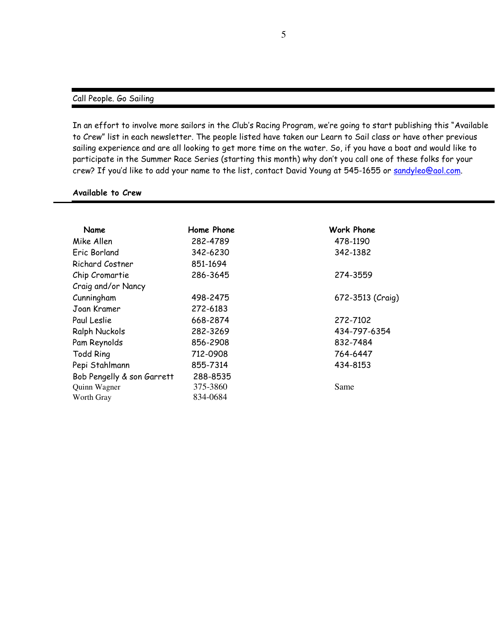#### Call People. Go Sailing

In an effort to involve more sailors in the Club's Racing Program, we're going to start publishing this "Available to Crew" list in each newsletter. The people listed have taken our Learn to Sail class or have other previous sailing experience and are all looking to get more time on the water. So, if you have a boat and would like to participate in the Summer Race Series (starting this month) why don't you call one of these folks for your crew? If you'd like to add your name to the list, contact David Young at 545-1655 or sandyleo@aol.com.

#### Available to Crew

| Name                       | Home Phone | Work Phone       |
|----------------------------|------------|------------------|
| Mike Allen                 | 282-4789   | 478-1190         |
| Eric Borland               | 342-6230   | 342-1382         |
| Richard Costner            | 851-1694   |                  |
| Chip Cromartie             | 286-3645   | 274-3559         |
| Craig and/or Nancy         |            |                  |
| Cunningham                 | 498-2475   | 672-3513 (Craig) |
| Joan Kramer                | 272-6183   |                  |
| Paul Leslie                | 668-2874   | 272-7102         |
| <b>Ralph Nuckols</b>       | 282-3269   | 434-797-6354     |
| Pam Reynolds               | 856-2908   | 832-7484         |
| <b>Todd Ring</b>           | 712-0908   | 764-6447         |
| Pepi Stahlmann             | 855-7314   | 434-8153         |
| Bob Pengelly & son Garrett | 288-8535   |                  |
| Quinn Wagner               | 375-3860   | Same             |
| Worth Gray                 | 834-0684   |                  |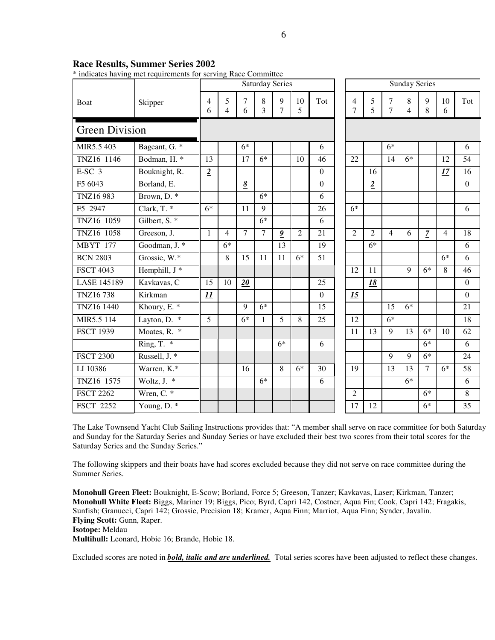| <b>Race Results, Summer Series 2002</b> |  |  |  |
|-----------------------------------------|--|--|--|
|-----------------------------------------|--|--|--|

\* indicates having met requirements for serving Race Committee

| marcates having met requirements for serving Nace Committee |                          | <b>Sunday Series</b><br><b>Saturday Series</b> |                |                 |            |                         |                |                  |  |                |                |                     |              |                |                |                  |
|-------------------------------------------------------------|--------------------------|------------------------------------------------|----------------|-----------------|------------|-------------------------|----------------|------------------|--|----------------|----------------|---------------------|--------------|----------------|----------------|------------------|
| Boat                                                        | Skipper                  | 4<br>6                                         | 5<br>4         | 7<br>6          | $8\,$<br>3 | 9<br>$\overline{7}$     | 10<br>5        | Tot              |  | 4<br>7         | 5<br>5         | 7<br>$\overline{7}$ | 8<br>4       | 9<br>8         | 10<br>6        | Tot              |
| <b>Green Division</b>                                       |                          |                                                |                |                 |            |                         |                |                  |  |                |                |                     |              |                |                |                  |
| MIR5.5 403                                                  | Bageant, G. *            |                                                |                | $6*$            |            |                         |                | 6                |  |                |                | $6*$                |              |                |                | 6                |
| TNZ16 1146                                                  | Bodman, H. *             | 13                                             |                | 17              | $6*$       |                         | 10             | 46               |  | 22             |                | 14                  | $6*$         |                | 12             | 54               |
| $E-SC$ 3                                                    | Bouknight, R.            | $\overline{2}$                                 |                |                 |            |                         |                | $\Omega$         |  |                | 16             |                     |              |                | 17             | 16               |
| F5 6043                                                     | Borland, E.              |                                                |                | $\underline{8}$ |            |                         |                | $\boldsymbol{0}$ |  |                | $\overline{2}$ |                     |              |                |                | $\boldsymbol{0}$ |
| TNZ16983                                                    | Brown, $D.*$             |                                                |                |                 | $6*$       |                         |                | 6                |  |                |                |                     |              |                |                |                  |
| F5 2947                                                     | Clark, $T.*$             | $6*$                                           |                | 11              | 9          |                         |                | 26               |  | $6*$           |                |                     |              |                |                | 6                |
| TNZ16 1059                                                  | Gilbert, S. <sup>*</sup> |                                                |                |                 | $6*$       |                         |                | 6                |  |                |                |                     |              |                |                |                  |
| TNZ16 1058                                                  | Greeson, J.              | $\mathbf{1}$                                   | $\overline{4}$ | 7               | $\tau$     | $\overline{\mathbf{2}}$ | $\overline{2}$ | 21               |  | $\overline{2}$ | $\overline{2}$ | $\overline{4}$      | 6            | $\overline{z}$ | $\overline{4}$ | 18               |
| <b>MBYT 177</b>                                             | Goodman, J. *            |                                                | $6*$           |                 |            | 13                      |                | 19               |  |                | $6*$           |                     |              |                |                | 6                |
| <b>BCN 2803</b>                                             | Grossie, W.*             |                                                | 8              | 15              | 11         | 11                      | $6*$           | 51               |  |                |                |                     |              |                | $6*$           | 6                |
| <b>FSCT 4043</b>                                            | Hemphill, J *            |                                                |                |                 |            |                         |                |                  |  | 12             | 11             |                     | $\mathbf{Q}$ | $6*$           | 8              | 46               |
| <b>LASE 145189</b>                                          | Kavkavas, C              | 15                                             | 10             | 20              |            |                         |                | 25               |  |                | 18             |                     |              |                |                | $\boldsymbol{0}$ |
| <b>TNZ16738</b>                                             | Kirkman                  | 11                                             |                |                 |            |                         |                | $\overline{0}$   |  | 15             |                |                     |              |                |                | $\boldsymbol{0}$ |
| TNZ16 1440                                                  | Khoury, E. *             |                                                |                | 9               | $6*$       |                         |                | 15               |  |                |                | 15                  | $6*$         |                |                | 21               |
| MIR5.5 114                                                  | Layton, D. *             | $\overline{5}$                                 |                | $\overline{6*}$ | 1          | 5                       | 8              | 25               |  | 12             |                | $6*$                |              |                |                | 18               |
| <b>FSCT 1939</b>                                            | Moates, R. *             |                                                |                |                 |            |                         |                |                  |  | 11             | 13             | 9                   | 13           | $6*$           | 10             | 62               |
|                                                             | Ring, T. $*$             |                                                |                |                 |            | $6*$                    |                | 6                |  |                |                |                     |              | $6*$           |                | 6                |
| <b>FSCT 2300</b>                                            | Russell, J. *            |                                                |                |                 |            |                         |                |                  |  |                |                | 9                   | $\mathbf{Q}$ | $6*$           |                | 24               |
| LI 10386                                                    | Warren, K.*              |                                                |                | 16              |            | 8                       | $6*$           | 30               |  | 19             |                | 13                  | 13           | $\tau$         | $6*$           | 58               |
| TNZ16 1575                                                  | Woltz, J. $*$            |                                                |                |                 | $6*$       |                         |                | 6                |  |                |                |                     | $6*$         |                |                | 6                |
| <b>FSCT 2262</b>                                            | Wren, $C.$ *             |                                                |                |                 |            |                         |                |                  |  | $\overline{2}$ |                |                     |              | $6*$           |                | $\,8\,$          |
| <b>FSCT 2252</b>                                            | Young, $\overline{D. *}$ |                                                |                |                 |            |                         |                |                  |  | 17             | 12             |                     |              | $6*$           |                | 35               |

The Lake Townsend Yacht Club Sailing Instructions provides that: "A member shall serve on race committee for both Saturday and Sunday for the Saturday Series and Sunday Series or have excluded their best two scores from their total scores for the Saturday Series and the Sunday Series."

The following skippers and their boats have had scores excluded because they did not serve on race committee during the Summer Series.

**Monohull Green Fleet:** Bouknight, E-Scow; Borland, Force 5; Greeson, Tanzer; Kavkavas, Laser; Kirkman, Tanzer; **Monohull White Fleet:** Biggs, Mariner 19; Biggs, Pico; Byrd, Capri 142, Costner, Aqua Fin; Cook, Capri 142; Fragakis, Sunfish; Granucci, Capri 142; Grossie, Precision 18; Kramer, Aqua Finn; Marriot, Aqua Finn; Synder, Javalin. **Flying Scott:** Gunn, Raper. **Isotope:** Meldau **Multihull:** Leonard, Hobie 16; Brande, Hobie 18.

Excluded scores are noted in *bold, italic and are underlined.* Total series scores have been adjusted to reflect these changes.